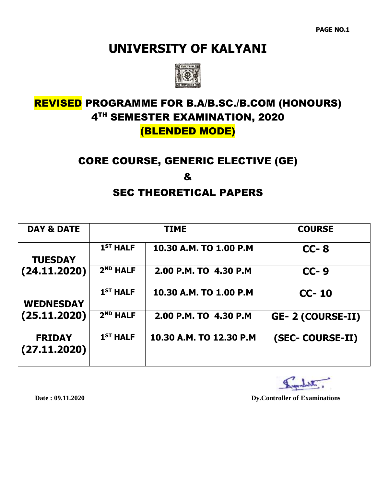

### REVISED PROGRAMME FOR B.A/B.SC./B.COM (HONOURS) 4 TH SEMESTER EXAMINATION, 2020 (BLENDED MODE)

#### CORE COURSE, GENERIC ELECTIVE (GE)

&

#### SEC THEORETICAL PAPERS

| <b>DAY &amp; DATE</b>         |                      | <b>TIME</b>             | <b>COURSE</b>            |
|-------------------------------|----------------------|-------------------------|--------------------------|
| <b>TUESDAY</b>                | $1ST$ HALF           | 10.30 A.M. TO 1.00 P.M  | $CC-8$                   |
| (24.11.2020)                  | 2 <sup>ND</sup> HALF | 2.00 P.M. TO 4.30 P.M   | $CC-9$                   |
| <b>WEDNESDAY</b>              | $1ST$ HALF           | 10.30 A.M. TO 1.00 P.M  | $CC-10$                  |
| (25.11.2020)                  | 2 <sup>ND</sup> HALF | 2.00 P.M. TO 4.30 P.M   | <b>GE- 2 (COURSE-II)</b> |
| <b>FRIDAY</b><br>(27.11.2020) | $1ST$ HALF           | 10.30 A.M. TO 12.30 P.M | (SEC- COURSE-II)         |
|                               |                      |                         |                          |

Indetter.

Date: 09.11.2020

 $Dy$ . Controller of **Examinations**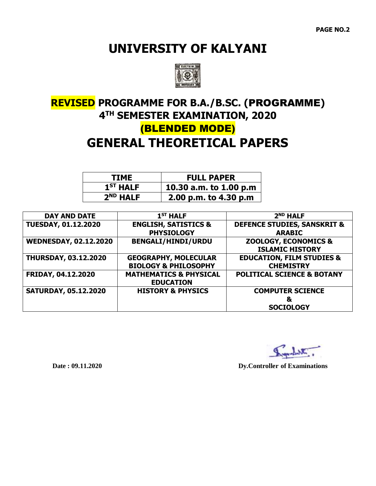

## **REVISED PROGRAMME FOR B.A./B.SC. (**PROGRAMME**) 4 TH SEMESTER EXAMINATION, 2020** (BLENDED MODE) **GENERAL THEORETICAL PAPERS**

| TIME                 | <b>FULL PAPER</b>      |
|----------------------|------------------------|
| 1 <sup>ST</sup> HALF | 10.30 a.m. to 1.00 p.m |
| 2 <sup>ND</sup> HALF | 2.00 p.m. to 4.30 p.m  |

| <b>DAY AND DATE</b>          | $1ST$ HALF                        | 2 <sup>ND</sup> HALF                   |
|------------------------------|-----------------------------------|----------------------------------------|
| <b>TUESDAY, 01.12.2020</b>   | <b>ENGLISH, SATISTICS &amp;</b>   | <b>DEFENCE STUDIES, SANSKRIT &amp;</b> |
|                              | <b>PHYSIOLOGY</b>                 | <b>ARABIC</b>                          |
| <b>WEDNESDAY, 02.12.2020</b> | <b>BENGALI/HINDI/URDU</b>         | <b>ZOOLOGY, ECONOMICS &amp;</b>        |
|                              |                                   | <b>ISLAMIC HISTORY</b>                 |
| <b>THURSDAY, 03.12.2020</b>  | <b>GEOGRAPHY, MOLECULAR</b>       | <b>EDUCATION, FILM STUDIES &amp;</b>   |
|                              | <b>BIOLOGY &amp; PHILOSOPHY</b>   | <b>CHEMISTRY</b>                       |
| FRIDAY, 04.12.2020           | <b>MATHEMATICS &amp; PHYSICAL</b> | <b>POLITICAL SCIENCE &amp; BOTANY</b>  |
|                              | <b>EDUCATION</b>                  |                                        |
| <b>SATURDAY, 05.12.2020</b>  | <b>HISTORY &amp; PHYSICS</b>      | <b>COMPUTER SCIENCE</b>                |
|                              |                                   | &                                      |
|                              |                                   | <b>SOCIOLOGY</b>                       |

Date: 09.11.2020

 $\bf Dy. Controller$  of Examinations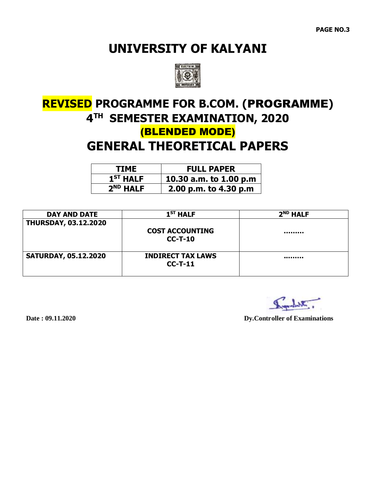

# **REVISED PROGRAMME FOR B.COM. (**PROGRAMME**) 4 TH SEMESTER EXAMINATION, 2020** (BLENDED MODE) **GENERAL THEORETICAL PAPERS**

| TIME                 | <b>FULL PAPER</b>      |
|----------------------|------------------------|
| $1ST$ HALF           | 10.30 a.m. to 1.00 p.m |
| 2 <sup>ND</sup> HALF | 2.00 p.m. to 4.30 p.m  |

| <b>DAY AND DATE</b>         | 1 <sup>ST</sup> HALF                  | 2 <sup>ND</sup> HALF |
|-----------------------------|---------------------------------------|----------------------|
| <b>THURSDAY, 03.12.2020</b> | <b>COST ACCOUNTING</b><br>$CC-T-10$   |                      |
| <b>SATURDAY, 05.12.2020</b> | <b>INDIRECT TAX LAWS</b><br>$CC-T-11$ |                      |

. Shelmon

Date: 09.11.2020

**Dy.Controller of Examinations**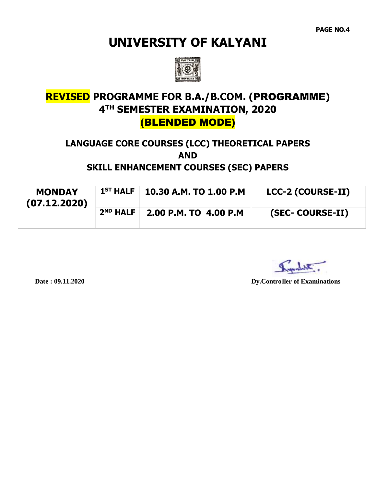**PAGE NO.4**

## **UNIVERSITY OF KALYANI**



### **REVISED PROGRAMME FOR B.A./B.COM. (**PROGRAMME**) 4 TH SEMESTER EXAMINATION, 2020** (BLENDED MODE)

# **LANGUAGE CORE COURSES (LCC) THEORETICAL PAPERS AND**

#### **SKILL ENHANCEMENT COURSES (SEC) PAPERS**

| <b>MONDAY</b><br>(07.12.2020) |               | $1^{ST}$ HALF   10.30 A.M. TO 1.00 P.M | <b>LCC-2 (COURSE-II)</b> |
|-------------------------------|---------------|----------------------------------------|--------------------------|
|                               | $2^{ND}$ HALF | 2.00 P.M. TO 4.00 P.M                  | (SEC- COURSE-II)         |

habitu -

Date: 09.11.2020

**Dy.Controller of Examinations**